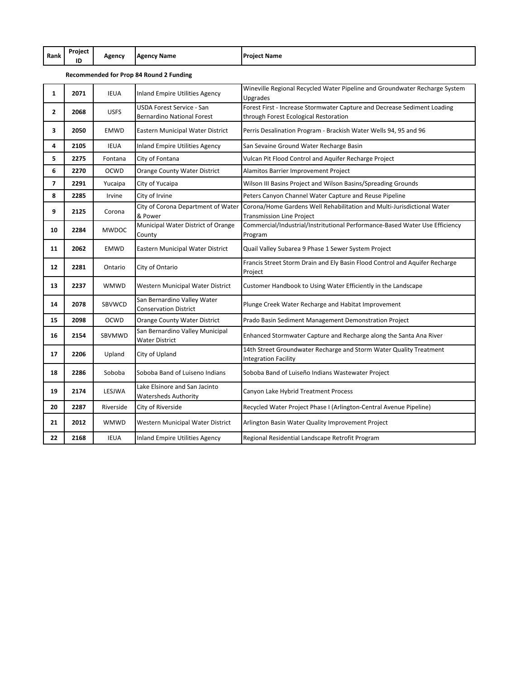| Rank           | Project<br>ID | Agency       | <b>Agency Name</b>                                             | <b>Project Name</b>                                                                                               |
|----------------|---------------|--------------|----------------------------------------------------------------|-------------------------------------------------------------------------------------------------------------------|
|                |               |              | Recommended for Prop 84 Round 2 Funding                        |                                                                                                                   |
| $\mathbf{1}$   | 2071          | <b>IEUA</b>  | Inland Empire Utilities Agency                                 | Wineville Regional Recycled Water Pipeline and Groundwater Recharge System<br>Upgrades                            |
| $\overline{2}$ | 2068          | <b>USFS</b>  | USDA Forest Service - San<br><b>Bernardino National Forest</b> | Forest First - Increase Stormwater Capture and Decrease Sediment Loading<br>through Forest Ecological Restoration |
| 3              | 2050          | <b>EMWD</b>  | Eastern Municipal Water District                               | Perris Desalination Program - Brackish Water Wells 94, 95 and 96                                                  |
| 4              | 2105          | IEUA         | Inland Empire Utilities Agency                                 | San Sevaine Ground Water Recharge Basin                                                                           |
| 5              | 2275          | Fontana      | City of Fontana                                                | Vulcan Pit Flood Control and Aquifer Recharge Project                                                             |
| 6              | 2270          | <b>OCWD</b>  | Orange County Water District                                   | Alamitos Barrier Improvement Project                                                                              |
| $\overline{7}$ | 2291          | Yucaipa      | City of Yucaipa                                                | Wilson III Basins Project and Wilson Basins/Spreading Grounds                                                     |
| 8              | 2285          | Irvine       | City of Irvine                                                 | Peters Canyon Channel Water Capture and Reuse Pipeline                                                            |
| 9              | 2125          | Corona       | City of Corona Department of Water<br>& Power                  | Corona/Home Gardens Well Rehabilitation and Multi-Jurisdictional Water<br><b>Transmission Line Project</b>        |
| 10             | 2284          | <b>MWDOC</b> | Municipal Water District of Orange<br>County                   | Commercial/Industrial/Instritutional Performance-Based Water Use Efficiency<br>Program                            |
| 11             | 2062          | <b>EMWD</b>  | Eastern Municipal Water District                               | Quail Valley Subarea 9 Phase 1 Sewer System Project                                                               |
| 12             | 2281          | Ontario      | City of Ontario                                                | Francis Street Storm Drain and Ely Basin Flood Control and Aquifer Recharge<br>Project                            |
| 13             | 2237          | <b>WMWD</b>  | Western Municipal Water District                               | Customer Handbook to Using Water Efficiently in the Landscape                                                     |
| 14             | 2078          | SBVWCD       | San Bernardino Valley Water<br><b>Conservation District</b>    | Plunge Creek Water Recharge and Habitat Improvement                                                               |
| 15             | 2098          | <b>OCWD</b>  | Orange County Water District                                   | Prado Basin Sediment Management Demonstration Project                                                             |
| 16             | 2154          | SBVMWD       | San Bernardino Valley Municipal<br><b>Water District</b>       | Enhanced Stormwater Capture and Recharge along the Santa Ana River                                                |
| 17             | 2206          | Upland       | City of Upland                                                 | 14th Street Groundwater Recharge and Storm Water Quality Treatment<br><b>Integration Facility</b>                 |
| 18             | 2286          | Soboba       | Soboba Band of Luiseno Indians                                 | Soboba Band of Luiseño Indians Wastewater Project                                                                 |
| 19             | 2174          | LESJWA       | Lake Elsinore and San Jacinto<br><b>Watersheds Authority</b>   | Canyon Lake Hybrid Treatment Process                                                                              |
| 20             | 2287          | Riverside    | City of Riverside                                              | Recycled Water Project Phase I (Arlington-Central Avenue Pipeline)                                                |
| 21             | 2012          | <b>WMWD</b>  | Western Municipal Water District                               | Arlington Basin Water Quality Improvement Project                                                                 |
| 22             | 2168          | <b>IEUA</b>  | Inland Empire Utilities Agency                                 | Regional Residential Landscape Retrofit Program                                                                   |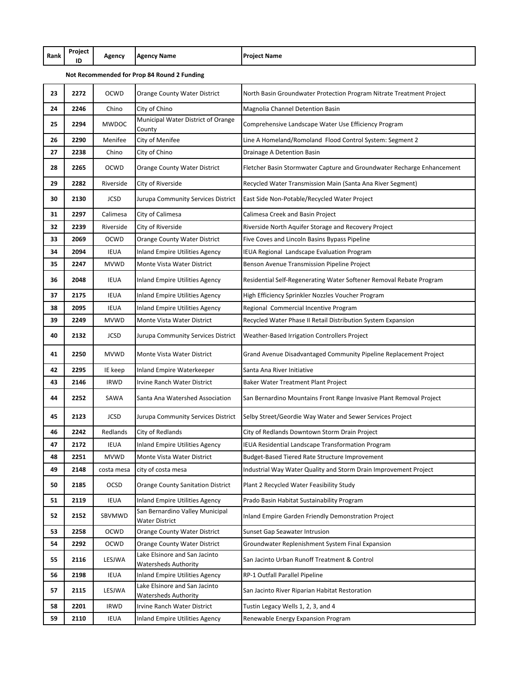| Rank          | Project | Agency | <b>IAgency Name</b> | <b>IProject Name</b> |
|---------------|---------|--------|---------------------|----------------------|
| $\sim$ $\sim$ | ID      |        | $\sim$ $\sim$       |                      |

## **Not Recommended for Prop 84 Round 2 Funding**

| 23 | 2272 | <b>OCWD</b>  | Orange County Water District                                 | North Basin Groundwater Protection Program Nitrate Treatment Project   |
|----|------|--------------|--------------------------------------------------------------|------------------------------------------------------------------------|
| 24 | 2246 | Chino        | City of Chino                                                | Magnolia Channel Detention Basin                                       |
| 25 | 2294 | <b>MWDOC</b> | Municipal Water District of Orange<br>County                 | Comprehensive Landscape Water Use Efficiency Program                   |
| 26 | 2290 | Menifee      | City of Menifee                                              | Line A Homeland/Romoland Flood Control System: Segment 2               |
| 27 | 2238 | Chino        | City of Chino                                                | Drainage A Detention Basin                                             |
| 28 | 2265 | OCWD         | Orange County Water District                                 | Fletcher Basin Stormwater Capture and Groundwater Recharge Enhancement |
| 29 | 2282 | Riverside    | City of Riverside                                            | Recycled Water Transmission Main (Santa Ana River Segment)             |
| 30 | 2130 | <b>JCSD</b>  | Jurupa Community Services District                           | East Side Non-Potable/Recycled Water Project                           |
| 31 | 2297 | Calimesa     | City of Calimesa                                             | Calimesa Creek and Basin Project                                       |
| 32 | 2239 | Riverside    | City of Riverside                                            | Riverside North Aquifer Storage and Recovery Project                   |
| 33 | 2069 | <b>OCWD</b>  | Orange County Water District                                 | Five Coves and Lincoln Basins Bypass Pipeline                          |
| 34 | 2094 | IEUA         | Inland Empire Utilities Agency                               | IEUA Regional Landscape Evaluation Program                             |
| 35 | 2247 | <b>MVWD</b>  | Monte Vista Water District                                   | Benson Avenue Transmission Pipeline Project                            |
| 36 | 2048 | <b>IEUA</b>  | Inland Empire Utilities Agency                               | Residential Self-Regenerating Water Softener Removal Rebate Program    |
| 37 | 2175 | <b>IEUA</b>  | <b>Inland Empire Utilities Agency</b>                        | High Efficiency Sprinkler Nozzles Voucher Program                      |
| 38 | 2095 | IEUA         | <b>Inland Empire Utilities Agency</b>                        | Regional Commercial Incentive Program                                  |
| 39 | 2249 | <b>MVWD</b>  | <b>Monte Vista Water District</b>                            | Recycled Water Phase II Retail Distribution System Expansion           |
| 40 | 2132 | <b>JCSD</b>  | Jurupa Community Services District                           | Weather-Based Irrigation Controllers Project                           |
| 41 | 2250 | <b>MVWD</b>  | Monte Vista Water District                                   | Grand Avenue Disadvantaged Community Pipeline Replacement Project      |
| 42 | 2295 | IE keep      | Inland Empire Waterkeeper                                    | Santa Ana River Initiative                                             |
| 43 | 2146 | <b>IRWD</b>  | Irvine Ranch Water District                                  | Baker Water Treatment Plant Project                                    |
| 44 | 2252 | SAWA         | Santa Ana Watershed Association                              | San Bernardino Mountains Front Range Invasive Plant Removal Project    |
| 45 | 2123 | <b>JCSD</b>  | Jurupa Community Services District                           | Selby Street/Geordie Way Water and Sewer Services Project              |
| 46 | 2242 | Redlands     | City of Redlands                                             | City of Redlands Downtown Storm Drain Project                          |
| 47 | 2172 | IEUA         | Inland Empire Utilities Agency                               | IEUA Residential Landscape Transformation Program                      |
| 48 | 2251 | <b>MVWD</b>  | Monte Vista Water District                                   | Budget-Based Tiered Rate Structure Improvement                         |
| 49 | 2148 | costa mesa   | city of costa mesa                                           | Industrial Way Water Quality and Storm Drain Improvement Project       |
| 50 | 2185 | OCSD         | <b>Orange County Sanitation District</b>                     | Plant 2 Recycled Water Feasibility Study                               |
| 51 | 2119 | <b>IEUA</b>  | <b>Inland Empire Utilities Agency</b>                        | Prado Basin Habitat Sustainability Program                             |
| 52 | 2152 | SBVMWD       | San Bernardino Valley Municipal<br><b>Water District</b>     | <b>Inland Empire Garden Friendly Demonstration Project</b>             |
| 53 |      | OCWD         | Orange County Water District                                 | Sunset Gap Seawater Intrusion                                          |
|    | 2258 |              |                                                              |                                                                        |
| 54 | 2292 | OCWD         | Orange County Water District                                 | Groundwater Replenishment System Final Expansion                       |
| 55 | 2116 | LESJWA       | Lake Elsinore and San Jacinto<br><b>Watersheds Authority</b> | San Jacinto Urban Runoff Treatment & Control                           |
| 56 | 2198 | <b>IEUA</b>  | Inland Empire Utilities Agency                               | RP-1 Outfall Parallel Pipeline                                         |
| 57 | 2115 | LESJWA       | Lake Elsinore and San Jacinto<br><b>Watersheds Authority</b> | San Jacinto River Riparian Habitat Restoration                         |
| 58 | 2201 | <b>IRWD</b>  | Irvine Ranch Water District                                  | Tustin Legacy Wells 1, 2, 3, and 4                                     |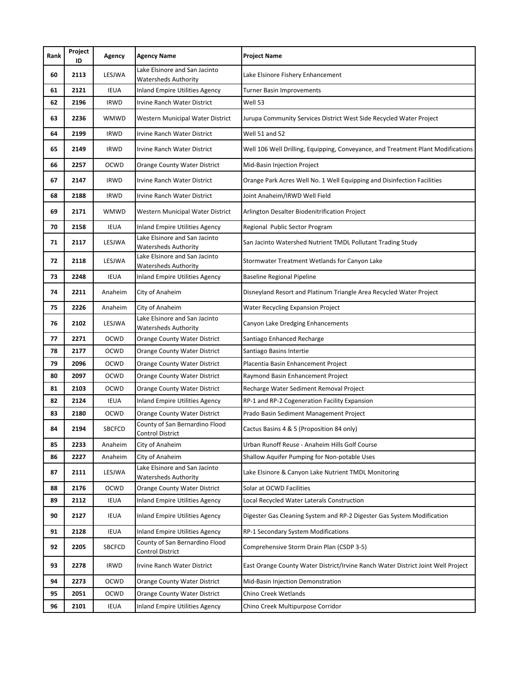| Rank | Project<br>ID | Agency        | <b>Agency Name</b>                                           | <b>Project Name</b>                                                              |
|------|---------------|---------------|--------------------------------------------------------------|----------------------------------------------------------------------------------|
| 60   | 2113          | LESJWA        | Lake Elsinore and San Jacinto<br><b>Watersheds Authority</b> | Lake Elsinore Fishery Enhancement                                                |
| 61   | 2121          | <b>IEUA</b>   | Inland Empire Utilities Agency                               | <b>Turner Basin Improvements</b>                                                 |
| 62   | 2196          | <b>IRWD</b>   | Irvine Ranch Water District                                  | Well 53                                                                          |
| 63   | 2236          | WMWD          | Western Municipal Water District                             | Jurupa Community Services District West Side Recycled Water Project              |
| 64   | 2199          | <b>IRWD</b>   | Irvine Ranch Water District                                  | Well 51 and 52                                                                   |
| 65   | 2149          | <b>IRWD</b>   | Irvine Ranch Water District                                  | Well 106 Well Drilling, Equipping, Conveyance, and Treatment Plant Modifications |
| 66   | 2257          | OCWD          | Orange County Water District                                 | Mid-Basin Injection Project                                                      |
| 67   | 2147          | <b>IRWD</b>   | Irvine Ranch Water District                                  | Orange Park Acres Well No. 1 Well Equipping and Disinfection Facilities          |
| 68   | 2188          | <b>IRWD</b>   | Irvine Ranch Water District                                  | Joint Anaheim/IRWD Well Field                                                    |
| 69   | 2171          | WMWD          | Western Municipal Water District                             | Arlington Desalter Biodenitrification Project                                    |
| 70   | 2158          | <b>IEUA</b>   | Inland Empire Utilities Agency                               | Regional Public Sector Program                                                   |
| 71   | 2117          | LESJWA        | Lake Elsinore and San Jacinto<br><b>Watersheds Authority</b> | San Jacinto Watershed Nutrient TMDL Pollutant Trading Study                      |
| 72   | 2118          | LESJWA        | Lake Elsinore and San Jacinto<br><b>Watersheds Authority</b> | Stormwater Treatment Wetlands for Canyon Lake                                    |
| 73   | 2248          | <b>IEUA</b>   | Inland Empire Utilities Agency                               | <b>Baseline Regional Pipeline</b>                                                |
| 74   | 2211          | Anaheim       | City of Anaheim                                              | Disneyland Resort and Platinum Triangle Area Recycled Water Project              |
| 75   | 2226          | Anaheim       | City of Anaheim                                              | Water Recycling Expansion Project                                                |
| 76   | 2102          | LESJWA        | Lake Elsinore and San Jacinto<br><b>Watersheds Authority</b> | Canyon Lake Dredging Enhancements                                                |
| 77   | 2271          | <b>OCWD</b>   | Orange County Water District                                 | Santiago Enhanced Recharge                                                       |
| 78   | 2177          | <b>OCWD</b>   | Orange County Water District                                 | Santiago Basins Intertie                                                         |
| 79   | 2096          | OCWD          | Orange County Water District                                 | Placentia Basin Enhancement Project                                              |
| 80   | 2097          | <b>OCWD</b>   | Orange County Water District                                 | Raymond Basin Enhancement Project                                                |
| 81   | 2103          | OCWD          | Orange County Water District                                 | Recharge Water Sediment Removal Project                                          |
| 82   | 2124          | IEUA          | Inland Empire Utilities Agency                               | RP-1 and RP-2 Cogeneration Facility Expansion                                    |
| 83   | 2180          | OCWD          | Orange County Water District                                 | Prado Basin Sediment Management Project                                          |
| 84   | 2194          | SBCFCD        | County of San Bernardino Flood<br><b>Control District</b>    | Cactus Basins 4 & 5 (Proposition 84 only)                                        |
| 85   | 2233          | Anaheim       | City of Anaheim                                              | Urban Runoff Reuse - Anaheim Hills Golf Course                                   |
| 86   | 2227          | Anaheim       | City of Anaheim                                              | Shallow Aquifer Pumping for Non-potable Uses                                     |
| 87   | 2111          | LESJWA        | Lake Elsinore and San Jacinto<br><b>Watersheds Authority</b> | Lake Elsinore & Canyon Lake Nutrient TMDL Monitoring                             |
| 88   | 2176          | OCWD          | Orange County Water District                                 | Solar at OCWD Facilities                                                         |
| 89   | 2112          | <b>IEUA</b>   | <b>Inland Empire Utilities Agency</b>                        | Local Recycled Water Laterals Construction                                       |
| 90   | 2127          | <b>IEUA</b>   | <b>Inland Empire Utilities Agency</b>                        | Digester Gas Cleaning System and RP-2 Digester Gas System Modification           |
| 91   | 2128          | IEUA          | <b>Inland Empire Utilities Agency</b>                        | RP-1 Secondary System Modifications                                              |
| 92   | 2205          | <b>SBCFCD</b> | County of San Bernardino Flood<br><b>Control District</b>    | Comprehensive Storm Drain Plan (CSDP 3-5)                                        |
| 93   | 2278          | <b>IRWD</b>   | Irvine Ranch Water District                                  | East Orange County Water District/Irvine Ranch Water District Joint Well Project |
| 94   | 2273          | <b>OCWD</b>   | Orange County Water District                                 | Mid-Basin Injection Demonstration                                                |
| 95   | 2051          | OCWD          | Orange County Water District                                 | Chino Creek Wetlands                                                             |
| 96   | 2101          | <b>IEUA</b>   | <b>Inland Empire Utilities Agency</b>                        | Chino Creek Multipurpose Corridor                                                |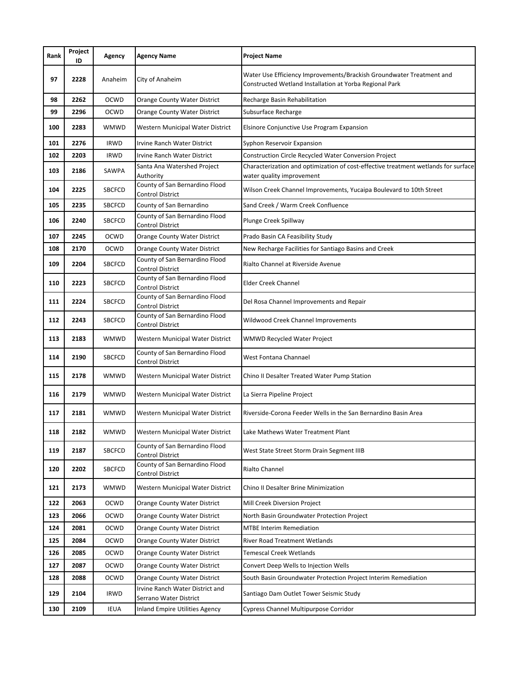| Rank | Project<br>ID | Agency        | <b>Agency Name</b>                                        | <b>Project Name</b>                                                                                                             |
|------|---------------|---------------|-----------------------------------------------------------|---------------------------------------------------------------------------------------------------------------------------------|
| 97   | 2228          | Anaheim       | City of Anaheim                                           | Water Use Efficiency Improvements/Brackish Groundwater Treatment and<br>Constructed Wetland Installation at Yorba Regional Park |
| 98   | 2262          | <b>OCWD</b>   | Orange County Water District                              | Recharge Basin Rehabilitation                                                                                                   |
| 99   | 2296          | <b>OCWD</b>   | Orange County Water District                              | Subsurface Recharge                                                                                                             |
| 100  | 2283          | WMWD          | Western Municipal Water District                          | Elsinore Conjunctive Use Program Expansion                                                                                      |
| 101  | 2276          | <b>IRWD</b>   | Irvine Ranch Water District                               | Syphon Reservoir Expansion                                                                                                      |
| 102  | 2203          | <b>IRWD</b>   | Irvine Ranch Water District                               | Construction Circle Recycled Water Conversion Project                                                                           |
| 103  | 2186          | SAWPA         | Santa Ana Watershed Project<br>Authority                  | Characterization and optimization of cost-effective treatment wetlands for surface<br>water quality improvement                 |
| 104  | 2225          | <b>SBCFCD</b> | County of San Bernardino Flood<br>Control District        | Wilson Creek Channel Improvements, Yucaipa Boulevard to 10th Street                                                             |
| 105  | 2235          | <b>SBCFCD</b> | County of San Bernardino                                  | Sand Creek / Warm Creek Confluence                                                                                              |
| 106  | 2240          | <b>SBCFCD</b> | County of San Bernardino Flood<br>Control District        | Plunge Creek Spillway                                                                                                           |
| 107  | 2245          | <b>OCWD</b>   | Orange County Water District                              | Prado Basin CA Feasibility Study                                                                                                |
| 108  | 2170          | <b>OCWD</b>   | Orange County Water District                              | New Recharge Facilities for Santiago Basins and Creek                                                                           |
| 109  | 2204          | <b>SBCFCD</b> | County of San Bernardino Flood<br>Control District        | Rialto Channel at Riverside Avenue                                                                                              |
| 110  | 2223          | <b>SBCFCD</b> | County of San Bernardino Flood<br><b>Control District</b> | <b>Elder Creek Channel</b>                                                                                                      |
| 111  | 2224          | <b>SBCFCD</b> | County of San Bernardino Flood<br><b>Control District</b> | Del Rosa Channel Improvements and Repair                                                                                        |
| 112  | 2243          | <b>SBCFCD</b> | County of San Bernardino Flood<br><b>Control District</b> | Wildwood Creek Channel Improvements                                                                                             |
| 113  | 2183          | WMWD          | Western Municipal Water District                          | WMWD Recycled Water Project                                                                                                     |
| 114  | 2190          | <b>SBCFCD</b> | County of San Bernardino Flood<br><b>Control District</b> | West Fontana Channael                                                                                                           |
| 115  | 2178          | WMWD          | Western Municipal Water District                          | Chino II Desalter Treated Water Pump Station                                                                                    |
| 116  | 2179          | WMWD          | Western Municipal Water District                          | La Sierra Pipeline Project                                                                                                      |
| 117  | 2181          | <b>WMWD</b>   | Western Municipal Water District                          | Riverside-Corona Feeder Wells in the San Bernardino Basin Area                                                                  |
| 118  | 2182          | WMWD          | Western Municipal Water District                          | Lake Mathews Water Treatment Plant                                                                                              |
| 119  | 2187          | <b>SBCFCD</b> | County of San Bernardino Flood<br><b>Control District</b> | West State Street Storm Drain Segment IIIB                                                                                      |
| 120  | 2202          | <b>SBCFCD</b> | County of San Bernardino Flood<br><b>Control District</b> | Rialto Channel                                                                                                                  |
| 121  | 2173          | WMWD          | Western Municipal Water District                          | Chino II Desalter Brine Minimization                                                                                            |
| 122  | 2063          | <b>OCWD</b>   | Orange County Water District                              | Mill Creek Diversion Project                                                                                                    |
| 123  | 2066          | OCWD          | Orange County Water District                              | North Basin Groundwater Protection Project                                                                                      |
| 124  | 2081          | OCWD          | <b>Orange County Water District</b>                       | <b>MTBE Interim Remediation</b>                                                                                                 |
| 125  | 2084          | OCWD          | Orange County Water District                              | <b>River Road Treatment Wetlands</b>                                                                                            |
| 126  | 2085          | <b>OCWD</b>   | Orange County Water District                              | Temescal Creek Wetlands                                                                                                         |
| 127  | 2087          | <b>OCWD</b>   | Orange County Water District                              | Convert Deep Wells to Injection Wells                                                                                           |
| 128  | 2088          | <b>OCWD</b>   | Orange County Water District                              | South Basin Groundwater Protection Project Interim Remediation                                                                  |
| 129  | 2104          | <b>IRWD</b>   | Irvine Ranch Water District and<br>Serrano Water District | Santiago Dam Outlet Tower Seismic Study                                                                                         |
| 130  | 2109          | <b>IEUA</b>   | Inland Empire Utilities Agency                            | Cypress Channel Multipurpose Corridor                                                                                           |